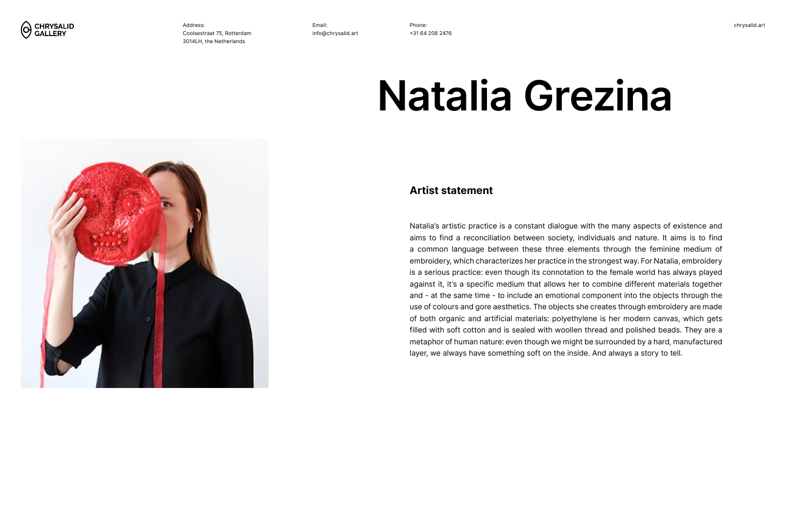Phone: +31 64 208 2476





Address: Coolsestraat 75, Rotterdam 3014LH, the Netherlands

#### **Artist statement**

# **Natalia Grezina**

Natalia's artistic practice is a constant dialogue with the many aspects of existence and aims to find a reconciliation between society, individuals and nature. It aims is to find a common language between these three elements through the feminine medium of embroidery, which characterizes her practice in the strongest way. For Natalia, embroidery is a serious practice: even though its connotation to the female world has always played against it, it's a specific medium that allows her to combine different materials together and - at the same time - to include an emotional component into the objects through the use of colours and gore aesthetics. The objects she creates through embroidery are made of both organic and artificial materials: polyethylene is her modern canvas, which gets filled with soft cotton and is sealed with woollen thread and polished beads. They are a metaphor of human nature: even though we might be surrounded by a hard, manufactured layer, we always have something soft on the inside. And always a story to tell.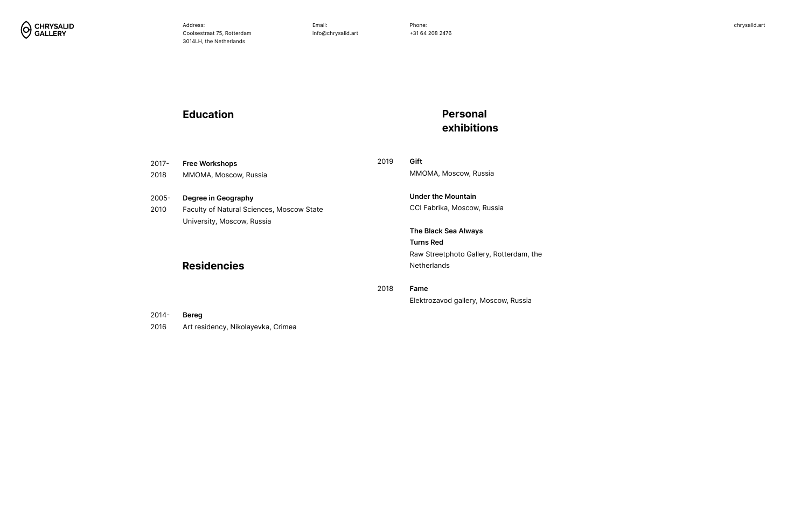

n, the

2016

Art residency, Nikolayevka, Crimea

# **Education**

| $2017 -$<br>2018 | <b>Free Workshops</b><br>MMOMA, Moscow, Russia                          | 2019 | Gift<br>MMOMA, Moscow, Russia                   |
|------------------|-------------------------------------------------------------------------|------|-------------------------------------------------|
| $2005 -$         | Degree in Geography                                                     |      | <b>Under the Mountain</b>                       |
| 2010             | Faculty of Natural Sciences, Moscow State<br>University, Moscow, Russia |      | CCI Fabrika, Moscow, Russia                     |
|                  |                                                                         |      | <b>The Black Sea Always</b><br><b>Turns Red</b> |
|                  |                                                                         |      | Raw Streetphoto Gallery, Rotterdam,             |
|                  | <b>Residencies</b>                                                      |      | <b>Netherlands</b>                              |
|                  |                                                                         | 2018 | Fame                                            |
|                  |                                                                         |      | Elektrozavod gallery, Moscow, Russia            |
| $2014 -$         | <b>Bereg</b>                                                            |      |                                                 |

# **Personal exhibitions**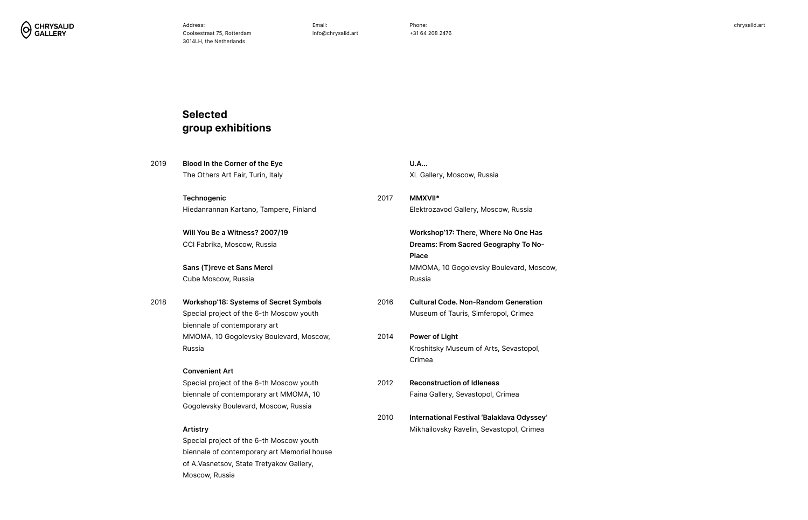Phone: +31 64 208 2476



e Has To No-

, Moscow,

**ration** 

opol,

dyssey'

Crimea

| 2019 | <b>Blood In the Corner of the Eye</b>         | <b>U.A</b> |                                                           |
|------|-----------------------------------------------|------------|-----------------------------------------------------------|
|      | The Others Art Fair, Turin, Italy             |            | XL Gallery, Moscow, Russia                                |
|      | <b>Technogenic</b>                            | 2017       | MMXVII*                                                   |
|      | Hiedanrannan Kartano, Tampere, Finland        |            | Elektrozavod Gallery, Moscow, Russia                      |
|      | Will You Be a Witness? 2007/19                |            | Workshop'17: There, Where No One H                        |
|      | CCI Fabrika, Moscow, Russia                   |            | <b>Dreams: From Sacred Geography To I</b><br><b>Place</b> |
|      | Sans (T) reve et Sans Merci                   |            | MMOMA, 10 Gogolevsky Boulevard, M                         |
|      | Cube Moscow, Russia                           |            | Russia                                                    |
| 2018 | <b>Workshop'18: Systems of Secret Symbols</b> | 2016       | <b>Cultural Code. Non-Random Generati</b>                 |
|      | Special project of the 6-th Moscow youth      |            | Museum of Tauris, Simferopol, Crimea                      |
|      | biennale of contemporary art                  |            |                                                           |
|      | MMOMA, 10 Gogolevsky Boulevard, Moscow,       | 2014       | <b>Power of Light</b>                                     |
|      | Russia                                        |            | Kroshitsky Museum of Arts, Sevastopo                      |
|      |                                               |            | Crimea                                                    |
|      | <b>Convenient Art</b>                         |            |                                                           |
|      | Special project of the 6-th Moscow youth      | 2012       | <b>Reconstruction of Idleness</b>                         |
|      | biennale of contemporary art MMOMA, 10        |            | Faina Gallery, Sevastopol, Crimea                         |
|      | Gogolevsky Boulevard, Moscow, Russia          |            |                                                           |
|      |                                               | 2010       | International Festival 'Balaklava Odys                    |
|      | <b>Artistry</b>                               |            | Mikhailovsky Ravelin, Sevastopol, Crin                    |
|      | Special project of the 6-th Moscow youth      |            |                                                           |
|      | biennale of contemporary art Memorial house   |            |                                                           |
|      | of A. Vasnetsov, State Tretyakov Gallery,     |            |                                                           |
|      | Moscow, Russia                                |            |                                                           |

# **Selected group exhibitions**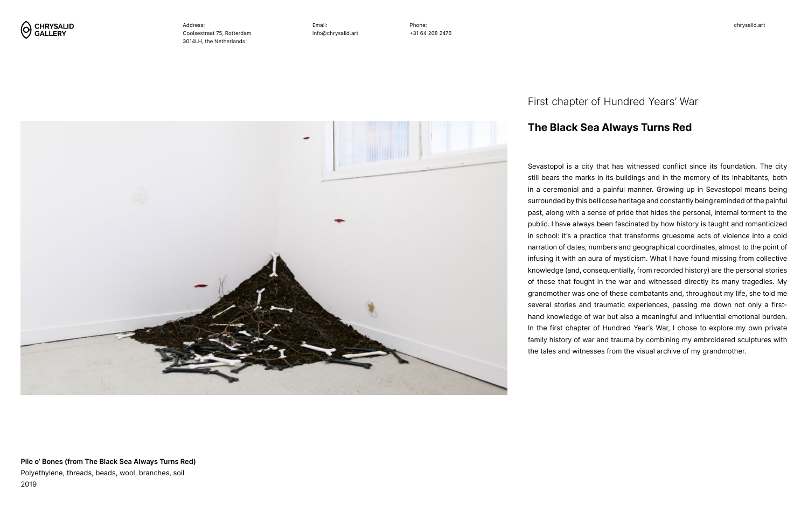Phone: +31 64 208 2476





Address: Coolsestraat 75, Rotterdam 3014LH, the Netherlands

**Pile o' Bones (from The Black Sea Always Turns Red)** Polyethylene, threads, beads, wool, branches, soil 2019

Sevastopol is a city that has witnessed conflict since its foundation. The city still bears the marks in its buildings and in the memory of its inhabitants, both in a ceremonial and a painful manner. Growing up in Sevastopol means being surrounded by this bellicose heritage and constantly being reminded of the painful past, along with a sense of pride that hides the personal, internal torment to the public. I have always been fascinated by how history is taught and romanticized in school: it's a practice that transforms gruesome acts of violence into a cold narration of dates, numbers and geographical coordinates, almost to the point of infusing it with an aura of mysticism. What I have found missing from collective knowledge (and, consequentially, from recorded history) are the personal stories of those that fought in the war and witnessed directly its many tragedies. My grandmother was one of these combatants and, throughout my life, she told me several stories and traumatic experiences, passing me down not only a firsthand knowledge of war but also a meaningful and influential emotional burden. In the first chapter of Hundred Year's War, I chose to explore my own private family history of war and trauma by combining my embroidered sculptures with the tales and witnesses from the visual archive of my grandmother.

## **The Black Sea Always Turns Red**

#### First chapter of Hundred Years' War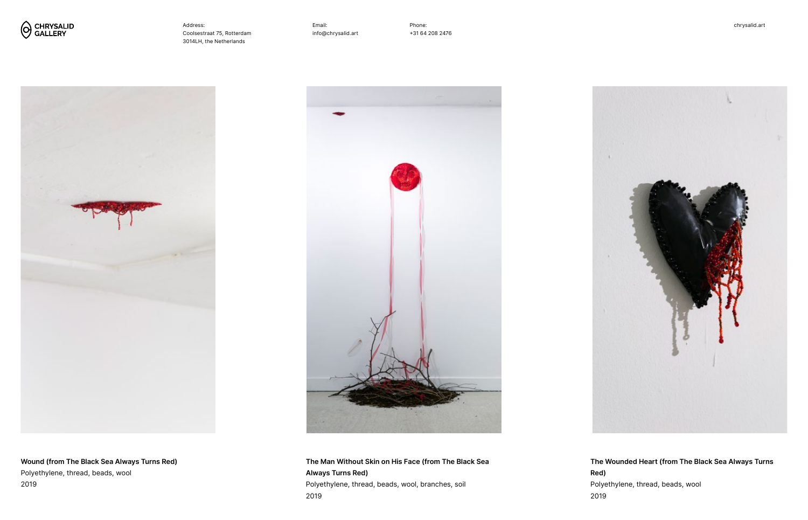Phone: +31 64 208 2476







Address: Coolsestraat 75, Rotterdam 3014LH, the Netherlands



**Wound (from The Black Sea Always Turns Red)** Polyethylene, thread, beads, wool 2019

**The Man Without Skin on His Face (from The Black Sea Always Turns Red)** Polyethylene, thread, beads, wool, branches, soil 2019

**The Wounded Heart (from The Black Sea Always Turns Red)** Polyethylene, thread, beads, wool 2019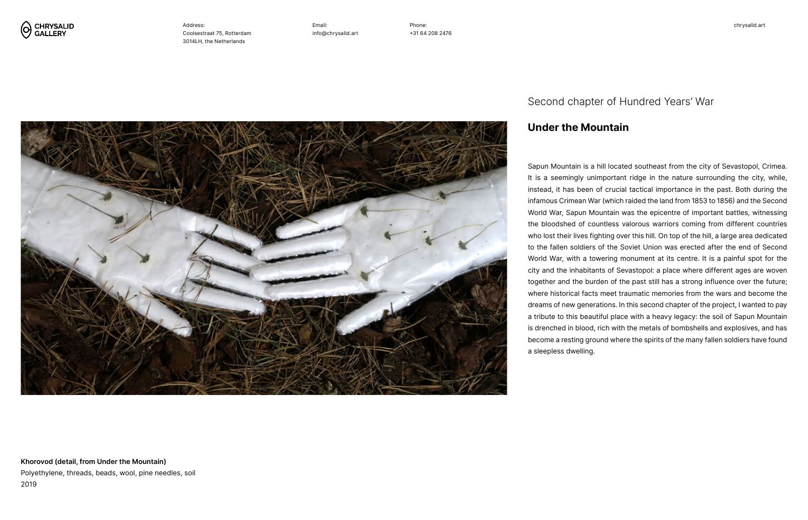Phone: +31 64 208 2476





Address: Coolsestraat 75, Rotterdam 3014LH, the Netherlands

**Khorovod (detail, from Under the Mountain)** Polyethylene, threads, beads, wool, pine needles, soil 2019

Sapun Mountain is a hill located southeast from the city of Sevastopol, Crimea. It is a seemingly unimportant ridge in the nature surrounding the city, while, instead, it has been of crucial tactical importance in the past. Both during the infamous Crimean War (which raided the land from 1853 to 1856) and the Second World War, Sapun Mountain was the epicentre of important battles, witnessing the bloodshed of countless valorous warriors coming from different countries who lost their lives fighting over this hill. On top of the hill, a large area dedicated to the fallen soldiers of the Soviet Union was erected after the end of Second World War, with a towering monument at its centre. It is a painful spot for the city and the inhabitants of Sevastopol: a place where different ages are woven together and the burden of the past still has a strong influence over the future; where historical facts meet traumatic memories from the wars and become the dreams of new generations. In this second chapter of the project, I wanted to pay a tribute to this beautiful place with a heavy legacy: the soil of Sapun Mountain is drenched in blood, rich with the metals of bombshells and explosives, and has become a resting ground where the spirits of the many fallen soldiers have found a sleepless dwelling.

# **Under the Mountain**

## Second chapter of Hundred Years' War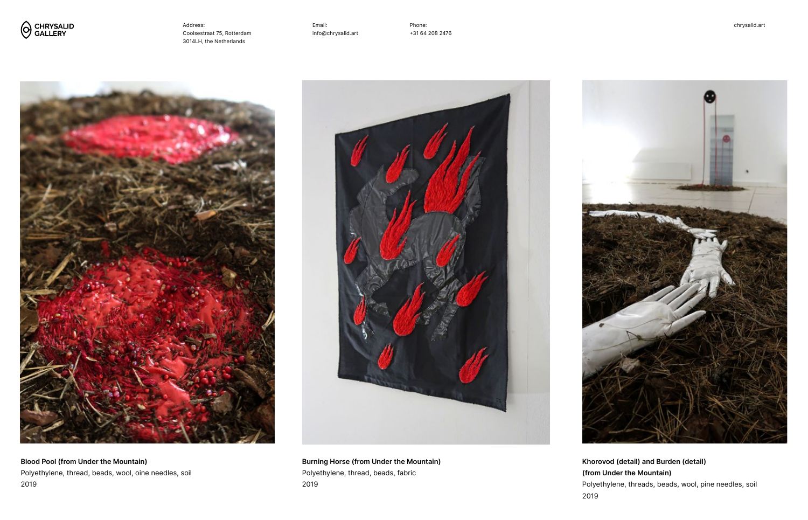Phone: +31 64 208 2476





Address: Coolsestraat 75, Rotterdam 3014LH, the Netherlands









**Burning Horse (from Under the Mountain)** Polyethylene, thread, beads, fabric 2019

**Khorovod (detail) and Burden (detail) (from Under the Mountain)** Polyethylene, threads, beads, wool, pine needles, soil 2019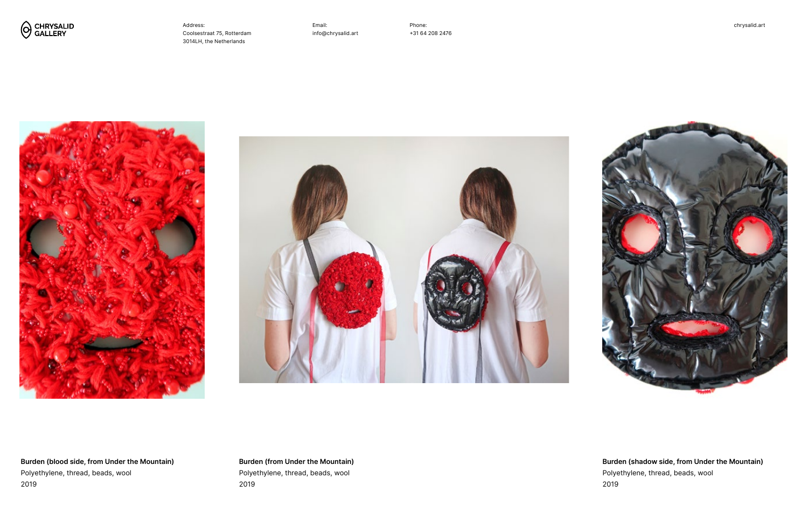Phone: +31 64 208 2476







Address: Coolsestraat 75, Rotterdam 3014LH, the Netherlands



**Burden (blood side, from Under the Mountain)** Polyethylene, thread, beads, wool 2019

**Burden (shadow side, from Under the Mountain)** Polyethylene, thread, beads, wool 2019

**Burden (from Under the Mountain)** Polyethylene, thread, beads, wool 2019